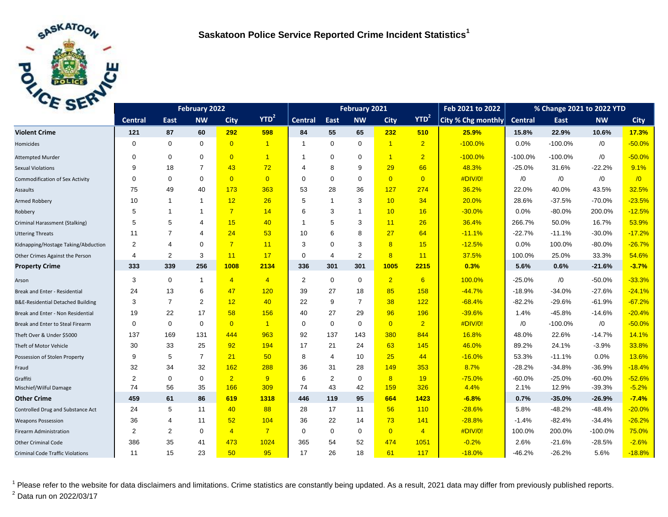

| E <sub>2F</sub>                              |                | February 2021  |                         |                |                |                | Feb 2021 to 2022 | % Change 2021 to 2022 YTD |                |                  |                    |           |           |            |             |
|----------------------------------------------|----------------|----------------|-------------------------|----------------|----------------|----------------|------------------|---------------------------|----------------|------------------|--------------------|-----------|-----------|------------|-------------|
|                                              | <b>Central</b> | East           | <b>NW</b>               | <b>City</b>    | $YTD^2$        | <b>Central</b> | East             | <b>NW</b>                 | <b>City</b>    | YTD <sup>2</sup> | City % Chg monthly | Central   | East      | <b>NW</b>  | <b>City</b> |
| <b>Violent Crime</b>                         | 121            | 87             | 60                      | 292            | 598            | 84             | 55               | 65                        | 232            | 510              | 25.9%              | 15.8%     | 22.9%     | 10.6%      | 17.3%       |
| Homicides                                    | $\mathbf 0$    | $\mathbf 0$    | $\mathbf 0$             | $\overline{0}$ | $\overline{1}$ | $\mathbf 1$    | $\mathbf 0$      | $\mathbf 0$               | $\overline{1}$ | $\overline{2}$   | $-100.0%$          | 0.0%      | $-100.0%$ | /0         | $-50.0%$    |
| <b>Attempted Murder</b>                      | $\Omega$       | $\mathbf 0$    | $\mathbf 0$             | $\overline{0}$ | $\overline{1}$ | -1             | $\mathbf 0$      | $\mathbf 0$               | $\overline{1}$ | $\overline{2}$   | $-100.0%$          | $-100.0%$ | $-100.0%$ | $\sqrt{0}$ | $-50.0%$    |
| <b>Sexual Violations</b>                     | 9              | 18             | $\overline{7}$          | 43             | 72             | 4              | 8                | 9                         | 29             | 66               | 48.3%              | $-25.0%$  | 31.6%     | $-22.2%$   | 9.1%        |
| <b>Commodification of Sex Activity</b>       | $\Omega$       | $\mathbf 0$    | $\mathbf 0$             | $\overline{0}$ | $\overline{0}$ | $\Omega$       | $\mathbf 0$      | $\mathbf 0$               | $\overline{0}$ | $\overline{0}$   | #DIV/0!            | /0        | /0        | /0         | $\sqrt{0}$  |
| Assaults                                     | 75             | 49             | 40                      | 173            | 363            | 53             | 28               | 36                        | 127            | 274              | 36.2%              | 22.0%     | 40.0%     | 43.5%      | 32.5%       |
| Armed Robbery                                | 10             | $\overline{1}$ | $\mathbf{1}$            | 12             | 26             | 5              | $\overline{1}$   | 3                         | 10             | 34               | 20.0%              | 28.6%     | $-37.5%$  | $-70.0%$   | $-23.5%$    |
| Robbery                                      | 5              | $\overline{1}$ | $\mathbf 1$             | $\overline{7}$ | 14             | 6              | 3                | $\mathbf{1}$              | 10             | 16               | $-30.0%$           | 0.0%      | $-80.0%$  | 200.0%     | $-12.5%$    |
| Criminal Harassment (Stalking)               | 5              | 5              | 4                       | 15             | 40             | -1             | 5                | 3                         | 11             | 26               | 36.4%              | 266.7%    | 50.0%     | 16.7%      | 53.9%       |
| <b>Uttering Threats</b>                      | 11             | $\overline{7}$ | $\overline{\mathbf{A}}$ | 24             | 53             | 10             | 6                | 8                         | 27             | 64               | $-11.1%$           | $-22.7%$  | $-11.1%$  | $-30.0%$   | $-17.2%$    |
| Kidnapping/Hostage Taking/Abduction          | $\overline{2}$ | $\overline{4}$ | $\mathbf 0$             | $\overline{7}$ | 11             | 3              | $\Omega$         | 3                         | 8              | 15               | $-12.5%$           | 0.0%      | 100.0%    | $-80.0%$   | $-26.7%$    |
| Other Crimes Against the Person              | 4              | $\overline{2}$ | 3                       | 11             | 17             | 0              | $\overline{4}$   | $\overline{2}$            | 8              | 11               | 37.5%              | 100.0%    | 25.0%     | 33.3%      | 54.6%       |
| <b>Property Crime</b>                        | 333            | 339            | 256                     | 1008           | 2134           | 336            | 301              | 301                       | 1005           | 2215             | 0.3%               | 5.6%      | 0.6%      | $-21.6%$   | $-3.7%$     |
| Arson                                        | 3              | $\mathbf 0$    | $\mathbf{1}$            | $\overline{4}$ | $\overline{4}$ | $\overline{2}$ | $\mathbf 0$      | $\mathbf 0$               | $\overline{2}$ | 6                | 100.0%             | $-25.0%$  | /0        | $-50.0%$   | $-33.3%$    |
| Break and Enter - Residential                | 24             | 13             | 6                       | 47             | 120            | 39             | 27               | 18                        | 85             | 158              | $-44.7%$           | $-18.9%$  | $-34.0%$  | $-27.6%$   | $-24.1%$    |
| <b>B&amp;E-Residential Detached Building</b> | 3              | $\overline{7}$ | 2                       | 12             | 40             | 22             | 9                | $\overline{7}$            | 38             | 122              | $-68.4%$           | $-82.2%$  | $-29.6%$  | $-61.9%$   | $-67.2%$    |
| Break and Enter - Non Residential            | 19             | 22             | 17                      | 58             | 156            | 40             | 27               | 29                        | 96             | 196              | $-39.6%$           | 1.4%      | $-45.8%$  | $-14.6%$   | $-20.4%$    |
| Break and Enter to Steal Firearm             | $\Omega$       | $\mathbf 0$    | $\mathbf 0$             | $\overline{0}$ | $\overline{1}$ | 0              | $\Omega$         | $\mathbf 0$               | $\overline{0}$ | $\overline{2}$   | #DIV/0!            | /0        | $-100.0%$ | $\sqrt{0}$ | $-50.0%$    |
| Theft Over & Under \$5000                    | 137            | 169            | 131                     | 444            | 963            | 92             | 137              | 143                       | 380            | 844              | 16.8%              | 48.0%     | 22.6%     | $-14.7%$   | 14.1%       |
| Theft of Motor Vehicle                       | 30             | 33             | 25                      | 92             | 194            | 17             | 21               | 24                        | 63             | 145              | 46.0%              | 89.2%     | 24.1%     | $-3.9%$    | 33.8%       |
| Possession of Stolen Property                | 9              | 5              | $\overline{7}$          | 21             | 50             | 8              | $\overline{4}$   | 10                        | 25             | 44               | $-16.0%$           | 53.3%     | $-11.1%$  | 0.0%       | 13.6%       |
| Fraud                                        | 32             | 34             | 32                      | 162            | 288            | 36             | 31               | 28                        | 149            | 353              | 8.7%               | $-28.2%$  | $-34.8%$  | $-36.9%$   | $-18.4%$    |
| Graffiti                                     | $\overline{2}$ | $\mathbf 0$    | $\mathbf 0$             | $\overline{2}$ | 9              | 6              | 2                | 0                         | 8              | 19               | $-75.0%$           | $-60.0%$  | $-25.0%$  | $-60.0%$   | $-52.6%$    |
| Mischief/Wilful Damage                       | 74             | 56             | 35                      | 166            | 309            | 74             | 43               | 42                        | 159            | 326              | 4.4%               | 2.1%      | 12.9%     | $-39.3%$   | $-5.2%$     |
| <b>Other Crime</b>                           | 459            | 61             | 86                      | 619            | 1318           | 446            | 119              | 95                        | 664            | 1423             | $-6.8%$            | 0.7%      | $-35.0%$  | $-26.9%$   | $-7.4%$     |
| Controlled Drug and Substance Act            | 24             | 5              | 11                      | 40             | 88             | 28             | 17               | 11                        | 56             | 110              | $-28.6%$           | 5.8%      | $-48.2%$  | $-48.4%$   | $-20.0%$    |
| <b>Weapons Possession</b>                    | 36             | 4              | 11                      | 52             | 104            | 36             | 22               | 14                        | 73             | 141              | $-28.8%$           | $-1.4%$   | $-82.4%$  | $-34.4%$   | $-26.2%$    |
| Firearm Administration                       | $\overline{c}$ | 2              | 0                       | $\overline{4}$ | $\overline{7}$ | $\mathbf 0$    | $\mathbf{0}$     | $\mathbf 0$               | $\overline{0}$ | $\overline{4}$   | #DIV/0!            | 100.0%    | 200.0%    | $-100.0%$  | 75.0%       |
| <b>Other Criminal Code</b>                   | 386            | 35             | 41                      | 473            | 1024           | 365            | 54               | 52                        | 474            | 1051             | $-0.2%$            | 2.6%      | $-21.6%$  | $-28.5%$   | $-2.6%$     |
| <b>Criminal Code Traffic Violations</b>      | 11             | 15             | 23                      | 50             | 95             | 17             | 26               | 18                        | 61             | 117              | $-18.0%$           | $-46.2%$  | $-26.2%$  | 5.6%       | $-18.8%$    |

<sup>1</sup> Please refer to the website for data disclaimers and limitations. Crime statistics are constantly being updated. As a result, 2021 data may differ from previously published reports. <sup>2</sup> Data run on 2022/03/17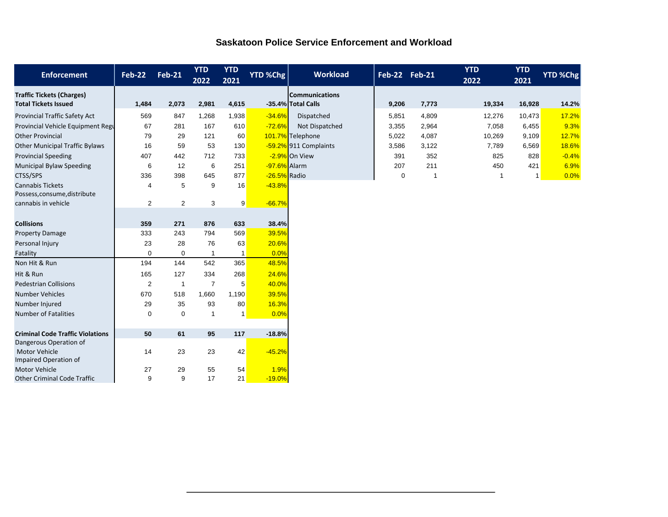## **Saskatoon Police Service Enforcement and Workload**

| <b>Enforcement</b>                                              | <b>Feb-22</b> | <b>Feb-21</b>  | <b>YTD</b><br>2022 | <b>YTD</b><br>2021 | <b>YTD %Chg</b> | <b>Workload</b>                             | Feb-22 Feb-21 |             | <b>YTD</b><br>2022 | <b>YTD</b><br>2021 | YTD %Chg |
|-----------------------------------------------------------------|---------------|----------------|--------------------|--------------------|-----------------|---------------------------------------------|---------------|-------------|--------------------|--------------------|----------|
| <b>Traffic Tickets (Charges)</b><br><b>Total Tickets Issued</b> | 1,484         | 2,073          | 2,981              | 4,615              |                 | <b>Communications</b><br>-35.4% Total Calls | 9,206         | 7,773       | 19,334             | 16,928             | 14.2%    |
| Provincial Traffic Safety Act                                   | 569           | 847            | 1,268              | 1,938              | $-34.6%$        | Dispatched                                  | 5,851         | 4,809       | 12,276             | 10,473             | 17.2%    |
| Provincial Vehicle Equipment Regu                               | 67            | 281            | 167                | 610                | $-72.6%$        | Not Dispatched                              | 3,355         | 2,964       | 7,058              | 6,455              | 9.3%     |
| <b>Other Provincial</b>                                         | 79            | 29             | 121                | 60                 |                 | 101.7% Telephone                            | 5,022         | 4,087       | 10,269             | 9,109              | 12.7%    |
| <b>Other Municipal Traffic Bylaws</b>                           | 16            | 59             | 53                 | 130                |                 | -59.2% 911 Complaints                       | 3,586         | 3,122       | 7,789              | 6,569              | 18.6%    |
| <b>Provincial Speeding</b>                                      | 407           | 442            | 712                | 733                |                 | -2.9% On View                               | 391           | 352         | 825                | 828                | $-0.4%$  |
| <b>Municipal Bylaw Speeding</b>                                 | 6             | 12             | 6                  | 251                | -97.6% Alarm    |                                             | 207           | 211         | 450                | 421                | 6.9%     |
| CTSS/SPS                                                        | 336           | 398            | 645                | 877                | -26.5% Radio    |                                             | $\mathbf 0$   | $\mathbf 1$ | 1                  |                    | 0.0%     |
| <b>Cannabis Tickets</b><br>Possess, consume, distribute         | 4             | 5              | 9                  | 16                 | $-43.8%$        |                                             |               |             |                    |                    |          |
| cannabis in vehicle                                             | 2             | $\overline{2}$ | 3                  | 9                  | $-66.7%$        |                                             |               |             |                    |                    |          |
|                                                                 |               |                |                    |                    |                 |                                             |               |             |                    |                    |          |
| <b>Collisions</b>                                               | 359           | 271            | 876                | 633                | 38.4%           |                                             |               |             |                    |                    |          |
| <b>Property Damage</b>                                          | 333           | 243            | 794                | 569                | 39.5%           |                                             |               |             |                    |                    |          |
| Personal Injury                                                 | 23            | 28             | 76                 | 63                 | 20.6%           |                                             |               |             |                    |                    |          |
| Fatality                                                        | $\mathbf 0$   | 0              | $\overline{1}$     | -1                 | 0.0%            |                                             |               |             |                    |                    |          |
| Non Hit & Run                                                   | 194           | 144            | 542                | 365                | 48.5%           |                                             |               |             |                    |                    |          |
| Hit & Run                                                       | 165           | 127            | 334                | 268                | 24.6%           |                                             |               |             |                    |                    |          |
| <b>Pedestrian Collisions</b>                                    | 2             | $\mathbf{1}$   | $\overline{7}$     | 5                  | 40.0%           |                                             |               |             |                    |                    |          |
| <b>Number Vehicles</b>                                          | 670           | 518            | 1,660              | 1,190              | 39.5%           |                                             |               |             |                    |                    |          |
| Number Injured                                                  | 29            | 35             | 93                 | 80                 | 16.3%           |                                             |               |             |                    |                    |          |
| <b>Number of Fatalities</b>                                     | $\mathbf 0$   | 0              | $\overline{1}$     | $\mathbf{1}$       | 0.0%            |                                             |               |             |                    |                    |          |
| <b>Criminal Code Traffic Violations</b>                         | 50            | 61             | 95                 | 117                | $-18.8%$        |                                             |               |             |                    |                    |          |
| Dangerous Operation of                                          |               |                |                    |                    |                 |                                             |               |             |                    |                    |          |
| <b>Motor Vehicle</b><br>Impaired Operation of                   | 14            | 23             | 23                 | 42                 | $-45.2%$        |                                             |               |             |                    |                    |          |
| <b>Motor Vehicle</b>                                            | 27            | 29             | 55                 | 54                 | 1.9%            |                                             |               |             |                    |                    |          |
| <b>Other Criminal Code Traffic</b>                              | 9             | 9              | 17                 | 21                 | $-19.0%$        |                                             |               |             |                    |                    |          |